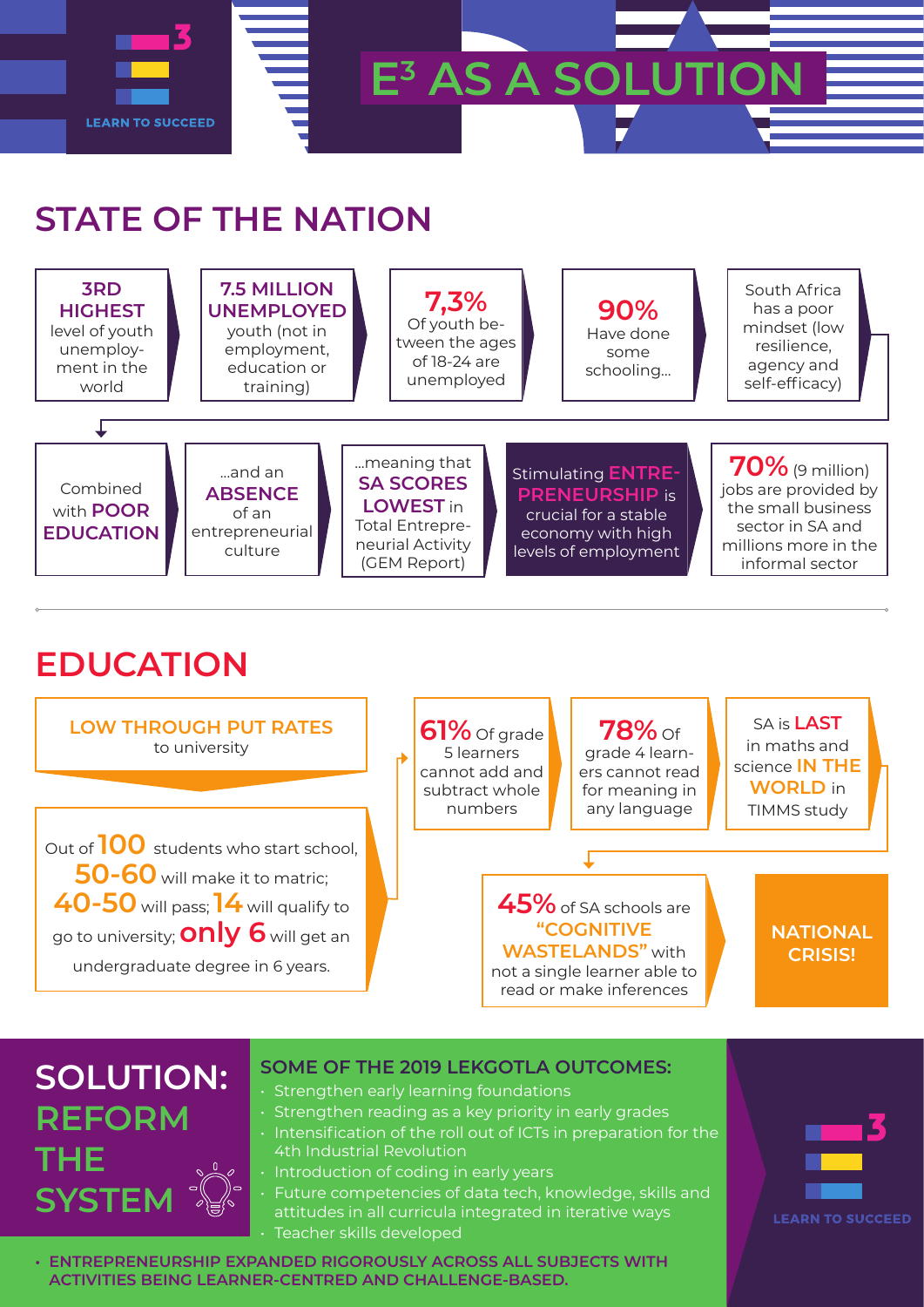

## **STATE OF THE NATION**

| <b>3RD</b><br><b>HIGHEST</b><br>level of youth<br>unemploy-<br>ment in the<br>world | 7.5 MILLION<br><b>UNEMPLOYED</b><br>youth (not in<br>employment,<br>education or<br>training) |                                                                                                                    | 7,3%<br>Of youth be-<br>tween the ages<br>of 18-24 are<br>unemployed |  | 90%<br>Have done<br>some<br>schooling                                                                                   | South Africa<br>has a poor<br>mindset (low<br>resilience,<br>agency and<br>self-efficacy)                                       |  |
|-------------------------------------------------------------------------------------|-----------------------------------------------------------------------------------------------|--------------------------------------------------------------------------------------------------------------------|----------------------------------------------------------------------|--|-------------------------------------------------------------------------------------------------------------------------|---------------------------------------------------------------------------------------------------------------------------------|--|
| Combined<br>with <b>POOR</b><br><b>EDUCATION</b>                                    | and an<br><b>ABSENCE</b><br>of an<br>entrepreneurial<br>culture                               | meaning that<br><b>SA SCORES</b><br><b>LOWEST</b> in<br><b>Total Entrepre-</b><br>neurial Activity<br>(GEM Report) |                                                                      |  | <b>Stimulating ENTRE-</b><br><b>PRENEURSHIP is</b><br>crucial for a stable<br>economy with high<br>levels of employment | $70\%$ (9 million)<br>jobs are provided by<br>the small business<br>sector in SA and<br>millions more in the<br>informal sector |  |

## **EDUCATION**



## **SOLUTION: REFORM THE SYSTEM**

## **SOME OF THE 2019 LEKGOTLA OUTCOMES:**

- Strengthen early learning foundations
- Strengthen reading as a key priority in early grades
- Intensification of the roll out of ICTs in preparation for the 4th Industrial Revolution
- Introduction of coding in early years
- Future competencies of data tech, knowledge, skills and attitudes in all curricula integrated in iterative ways • Teacher skills developed

**• ENTREPRENEURSHIP EXPANDED RIGOROUSLY ACROSS ALL SUBJECTS WITH ACTIVITIES BEING LEARNER-CENTRED AND CHALLENGE-BASED.**